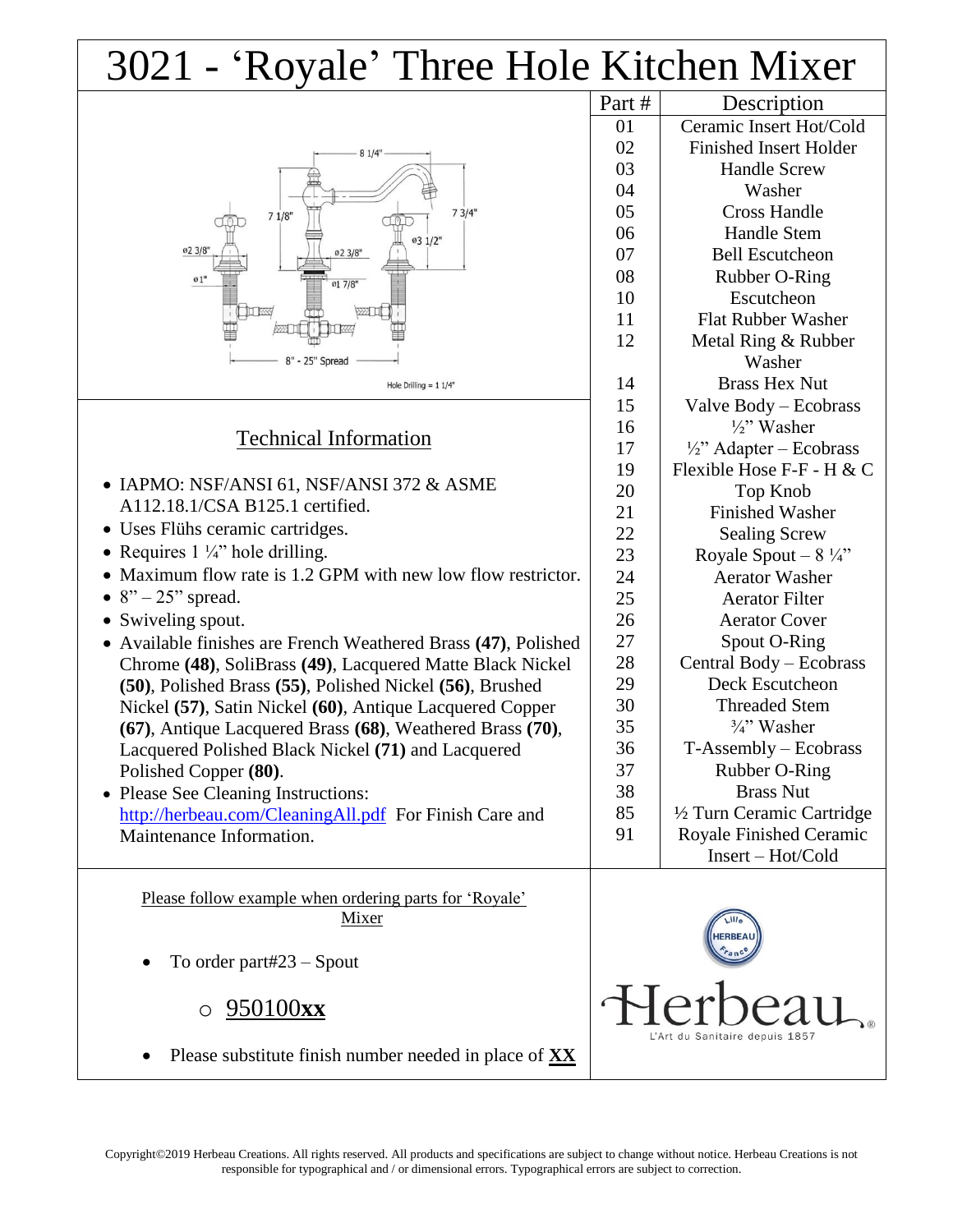## 3021 - 'Royale' Three Hole Kitchen Mixer

| 81/4"<br>73/4"<br>71/8"<br>03 1/2"<br>02 3/8"<br>02 3/8"<br>$\emptyset$ 1"<br>017/8"<br>8" - 25" Spread<br>Hole Drilling = $11/4"$ |  |
|------------------------------------------------------------------------------------------------------------------------------------|--|
|                                                                                                                                    |  |

## Technical Information

- IAPMO: NSF/ANSI 61, NSF/ANSI 372 & ASME A112.18.1/CSA B125.1 certified.
- Uses Flühs ceramic cartridges.
- Requires  $1\frac{1}{4}$  hole drilling.
- Maximum flow rate is 1.2 GPM with new low flow restrictor.
- $8" 25"$  spread.
- Swiveling spout.
- Available finishes are French Weathered Brass **(47)**, Polished Chrome **(48)**, SoliBrass **(49)**, Lacquered Matte Black Nickel **(50)**, Polished Brass **(55)**, Polished Nickel **(56)**, Brushed Nickel **(57)**, Satin Nickel **(60)**, Antique Lacquered Copper **(67)**, Antique Lacquered Brass **(68)**, Weathered Brass **(70)**, Lacquered Polished Black Nickel **(71)** and Lacquered Polished Copper **(80)**.
- Please See Cleaning Instructions: http://herbeau.com/CleaningAll.pdf For Finish Care and Maintenance Information.

Please follow example when ordering parts for 'Royale' Mixer

- To order part#23 Spout
	- o 950100**xx**



Part # Description

Ceramic Insert Hot/Cold Finished Insert Holder Handle Screw Washer Cross Handle Handle Stem Bell Escutcheon Rubber O-Ring Escutcheon Flat Rubber Washer Metal Ring & Rubber Washer Brass Hex Nut Valve Body – Ecobrass ½" Washer  $\frac{1}{2}$ " Adapter – Ecobrass Flexible Hose F-F - H & C Top Knob Finished Washer Sealing Screw Royale Spout –  $8\frac{1}{4}$ " Aerator Washer Aerator Filter Aerator Cover Spout O-Ring Central Body – Ecobrass Deck Escutcheon Threaded Stem  $\frac{3}{4}$ " Washer T-Assembly – Ecobrass Rubber O-Ring Brass Nut ½ Turn Ceramic Cartridge Royale Finished Ceramic

Please substitute finish number needed in place of **XX**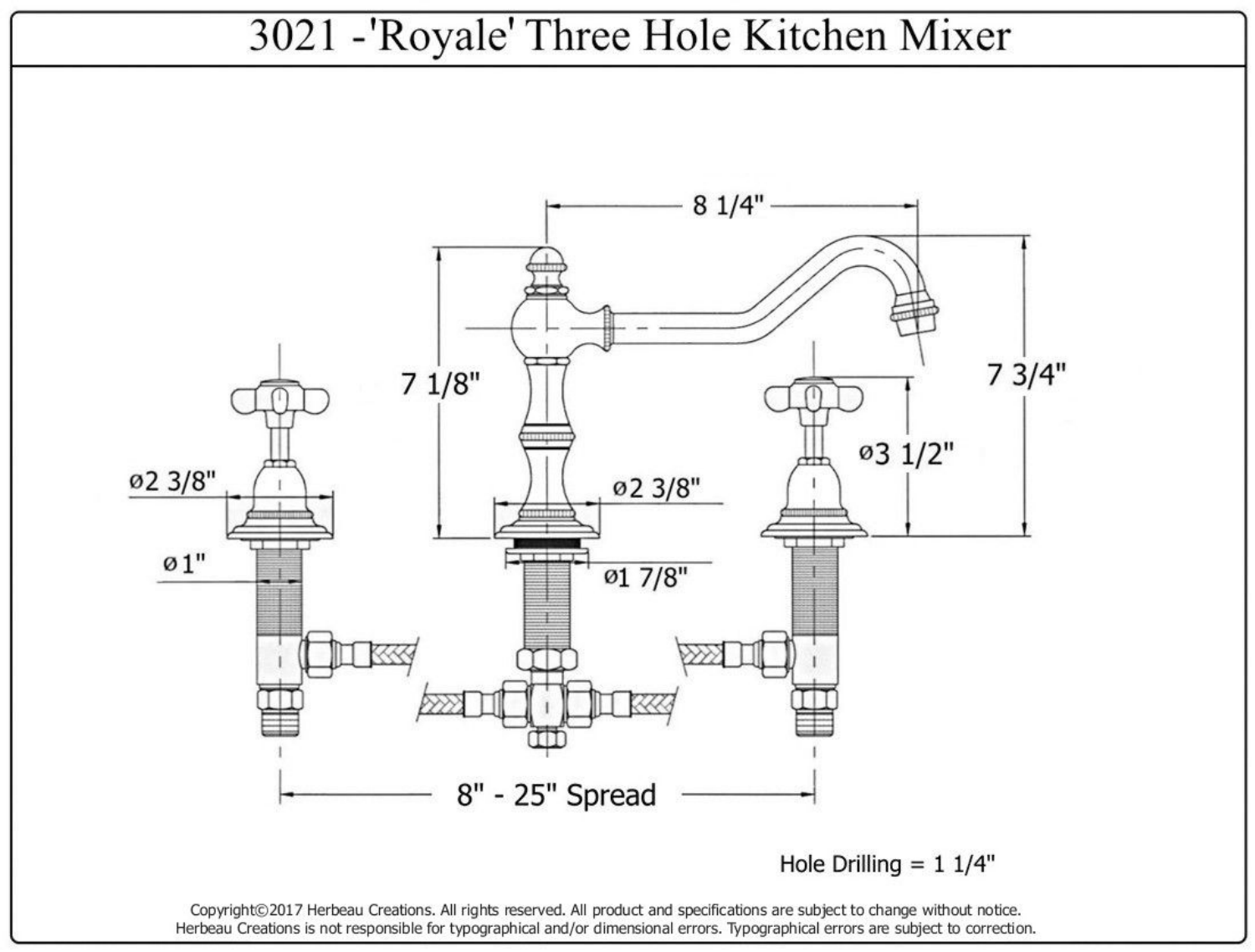